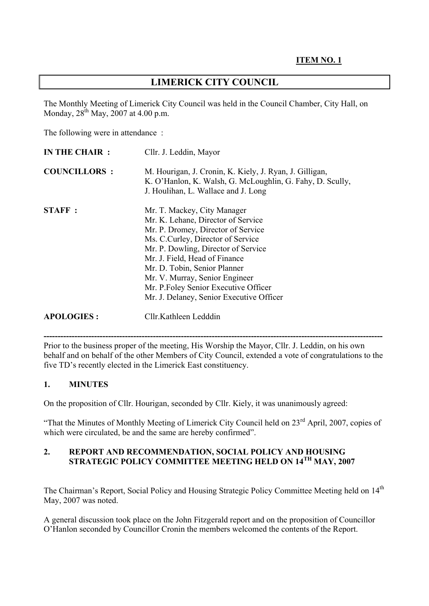# **LIMERICK CITY COUNCIL**

The Monthly Meeting of Limerick City Council was held in the Council Chamber, City Hall, on Monday,  $28^{th}$  May,  $2007$  at 4.00 p.m.

The following were in attendance :

| IN THE CHAIR :      | Cllr. J. Leddin, Mayor                                                                                                                                                                                                                                                                                                                                                      |
|---------------------|-----------------------------------------------------------------------------------------------------------------------------------------------------------------------------------------------------------------------------------------------------------------------------------------------------------------------------------------------------------------------------|
| <b>COUNCILLORS:</b> | M. Hourigan, J. Cronin, K. Kiely, J. Ryan, J. Gilligan,<br>K. O'Hanlon, K. Walsh, G. McLoughlin, G. Fahy, D. Scully,<br>J. Houlihan, L. Wallace and J. Long                                                                                                                                                                                                                 |
| <b>STAFF:</b>       | Mr. T. Mackey, City Manager<br>Mr. K. Lehane, Director of Service<br>Mr. P. Dromey, Director of Service<br>Ms. C.Curley, Director of Service<br>Mr. P. Dowling, Director of Service<br>Mr. J. Field, Head of Finance<br>Mr. D. Tobin, Senior Planner<br>Mr. V. Murray, Senior Engineer<br>Mr. P. Foley Senior Executive Officer<br>Mr. J. Delaney, Senior Executive Officer |
| <b>APOLOGIES:</b>   | Cllr. Kathleen Ledddin                                                                                                                                                                                                                                                                                                                                                      |

**-------------------------------------------------------------------------------------------------------------------------**  Prior to the business proper of the meeting, His Worship the Mayor, Cllr. J. Leddin, on his own behalf and on behalf of the other Members of City Council, extended a vote of congratulations to the five TD's recently elected in the Limerick East constituency.

## **1. MINUTES**

On the proposition of Cllr. Hourigan, seconded by Cllr. Kiely, it was unanimously agreed:

"That the Minutes of Monthly Meeting of Limerick City Council held on 23rd April, 2007, copies of which were circulated, be and the same are hereby confirmed".

# **2. REPORT AND RECOMMENDATION, SOCIAL POLICY AND HOUSING STRATEGIC POLICY COMMITTEE MEETING HELD ON 14TH MAY, 2007**

The Chairman's Report, Social Policy and Housing Strategic Policy Committee Meeting held on 14<sup>th</sup> May, 2007 was noted.

A general discussion took place on the John Fitzgerald report and on the proposition of Councillor O'Hanlon seconded by Councillor Cronin the members welcomed the contents of the Report.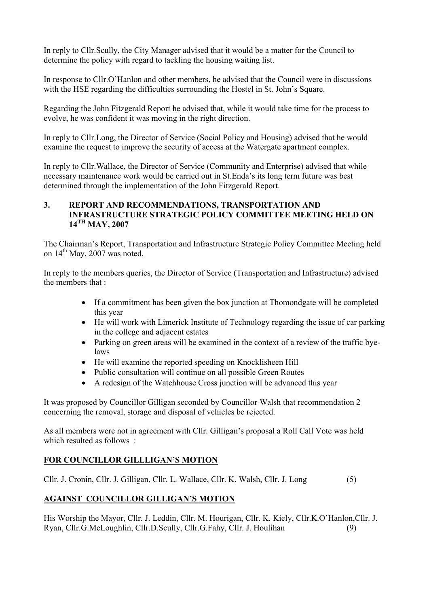In reply to Cllr.Scully, the City Manager advised that it would be a matter for the Council to determine the policy with regard to tackling the housing waiting list.

In response to Cllr.O'Hanlon and other members, he advised that the Council were in discussions with the HSE regarding the difficulties surrounding the Hostel in St. John's Square.

Regarding the John Fitzgerald Report he advised that, while it would take time for the process to evolve, he was confident it was moving in the right direction.

In reply to Cllr.Long, the Director of Service (Social Policy and Housing) advised that he would examine the request to improve the security of access at the Watergate apartment complex.

In reply to Cllr.Wallace, the Director of Service (Community and Enterprise) advised that while necessary maintenance work would be carried out in St.Enda's its long term future was best determined through the implementation of the John Fitzgerald Report.

#### **3. REPORT AND RECOMMENDATIONS, TRANSPORTATION AND INFRASTRUCTURE STRATEGIC POLICY COMMITTEE MEETING HELD ON 14TH MAY, 2007**

The Chairman's Report, Transportation and Infrastructure Strategic Policy Committee Meeting held on  $14<sup>th</sup>$  May, 2007 was noted.

In reply to the members queries, the Director of Service (Transportation and Infrastructure) advised the members that :

- If a commitment has been given the box junction at Thomondgate will be completed this year
- He will work with Limerick Institute of Technology regarding the issue of car parking in the college and adjacent estates
- Parking on green areas will be examined in the context of a review of the traffic byelaws
- He will examine the reported speeding on Knocklisheen Hill
- Public consultation will continue on all possible Green Routes
- A redesign of the Watchhouse Cross junction will be advanced this year

It was proposed by Councillor Gilligan seconded by Councillor Walsh that recommendation 2 concerning the removal, storage and disposal of vehicles be rejected.

As all members were not in agreement with Cllr. Gilligan's proposal a Roll Call Vote was held which resulted as follows :

# **FOR COUNCILLOR GILLLIGAN'S MOTION**

Cllr. J. Cronin, Cllr. J. Gilligan, Cllr. L. Wallace, Cllr. K. Walsh, Cllr. J. Long (5)

# **AGAINST COUNCILLOR GILLIGAN'S MOTION**

His Worship the Mayor, Cllr. J. Leddin, Cllr. M. Hourigan, Cllr. K. Kiely, Cllr.K.O'Hanlon,Cllr. J. Ryan, Cllr.G.McLoughlin, Cllr.D.Scully, Cllr.G.Fahy, Cllr. J. Houlihan (9)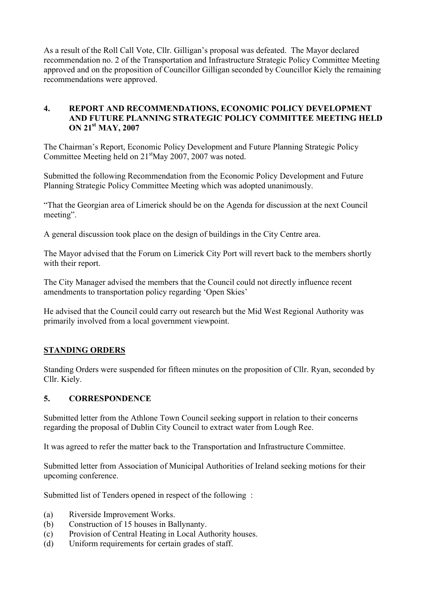As a result of the Roll Call Vote, Cllr. Gilligan's proposal was defeated. The Mayor declared recommendation no. 2 of the Transportation and Infrastructure Strategic Policy Committee Meeting approved and on the proposition of Councillor Gilligan seconded by Councillor Kiely the remaining recommendations were approved.

## **4. REPORT AND RECOMMENDATIONS, ECONOMIC POLICY DEVELOPMENT AND FUTURE PLANNING STRATEGIC POLICY COMMITTEE MEETING HELD ON 21st MAY, 2007**

The Chairman's Report, Economic Policy Development and Future Planning Strategic Policy Committee Meeting held on 21<sup>st</sup>May 2007, 2007 was noted.

Submitted the following Recommendation from the Economic Policy Development and Future Planning Strategic Policy Committee Meeting which was adopted unanimously.

"That the Georgian area of Limerick should be on the Agenda for discussion at the next Council meeting".

A general discussion took place on the design of buildings in the City Centre area.

The Mayor advised that the Forum on Limerick City Port will revert back to the members shortly with their report.

The City Manager advised the members that the Council could not directly influence recent amendments to transportation policy regarding 'Open Skies'

He advised that the Council could carry out research but the Mid West Regional Authority was primarily involved from a local government viewpoint.

## **STANDING ORDERS**

Standing Orders were suspended for fifteen minutes on the proposition of Cllr. Ryan, seconded by Cllr. Kiely.

#### **5. CORRESPONDENCE**

Submitted letter from the Athlone Town Council seeking support in relation to their concerns regarding the proposal of Dublin City Council to extract water from Lough Ree.

It was agreed to refer the matter back to the Transportation and Infrastructure Committee.

Submitted letter from Association of Municipal Authorities of Ireland seeking motions for their upcoming conference.

Submitted list of Tenders opened in respect of the following :

- (a) Riverside Improvement Works.
- (b) Construction of 15 houses in Ballynanty.
- (c) Provision of Central Heating in Local Authority houses.
- (d) Uniform requirements for certain grades of staff.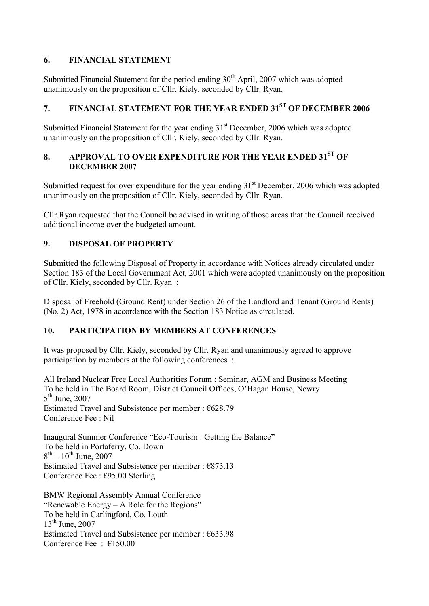# **6. FINANCIAL STATEMENT**

Submitted Financial Statement for the period ending  $30<sup>th</sup>$  April, 2007 which was adopted unanimously on the proposition of Cllr. Kiely, seconded by Cllr. Ryan.

# **7. FINANCIAL STATEMENT FOR THE YEAR ENDED 31ST OF DECEMBER 2006**

Submitted Financial Statement for the year ending  $31<sup>st</sup>$  December, 2006 which was adopted unanimously on the proposition of Cllr. Kiely, seconded by Cllr. Ryan.

# 8. **APPROVAL TO OVER EXPENDITURE FOR THE YEAR ENDED 31<sup>ST</sup> OF DECEMBER 2007**

Submitted request for over expenditure for the year ending  $31<sup>st</sup>$  December, 2006 which was adopted unanimously on the proposition of Cllr. Kiely, seconded by Cllr. Ryan.

Cllr.Ryan requested that the Council be advised in writing of those areas that the Council received additional income over the budgeted amount.

# **9. DISPOSAL OF PROPERTY**

Submitted the following Disposal of Property in accordance with Notices already circulated under Section 183 of the Local Government Act, 2001 which were adopted unanimously on the proposition of Cllr. Kiely, seconded by Cllr. Ryan :

Disposal of Freehold (Ground Rent) under Section 26 of the Landlord and Tenant (Ground Rents) (No. 2) Act, 1978 in accordance with the Section 183 Notice as circulated.

## **10. PARTICIPATION BY MEMBERS AT CONFERENCES**

It was proposed by Cllr. Kiely, seconded by Cllr. Ryan and unanimously agreed to approve participation by members at the following conferences :

All Ireland Nuclear Free Local Authorities Forum : Seminar, AGM and Business Meeting To be held in The Board Room, District Council Offices, O'Hagan House, Newry  $5<sup>th</sup>$  June, 2007 Estimated Travel and Subsistence per member :  $€628.79$ Conference Fee : Nil

Inaugural Summer Conference "Eco-Tourism : Getting the Balance" To be held in Portaferry, Co. Down  $8^{th} - 10^{th}$  June, 2007 Estimated Travel and Subsistence per member :  $\epsilon$ 873.13 Conference Fee : £95.00 Sterling

BMW Regional Assembly Annual Conference "Renewable Energy – A Role for the Regions" To be held in Carlingford, Co. Louth  $13<sup>th</sup>$  June, 2007 Estimated Travel and Subsistence per member :  $€633.98$ Conference Fee  $\cdot$   $\in$  150.00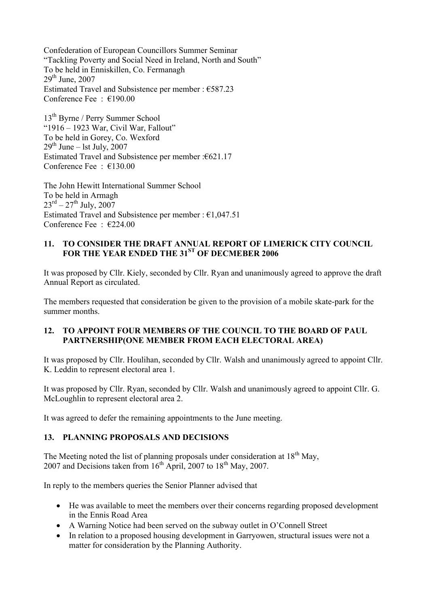Confederation of European Councillors Summer Seminar "Tackling Poverty and Social Need in Ireland, North and South" To be held in Enniskillen, Co. Fermanagh  $29<sup>th</sup>$  June,  $2007$ Estimated Travel and Subsistence per member : €587.23 Conference Fee : €190.00

13th Byrne / Perry Summer School "1916 – 1923 War, Civil War, Fallout" To be held in Gorey, Co. Wexford  $29<sup>th</sup>$  June – lst July, 2007 Estimated Travel and Subsistence per member :€621.17 Conference Fee : €130.00

The John Hewitt International Summer School To be held in Armagh  $23^{\text{rd}} - 27^{\text{th}}$  July, 2007 Estimated Travel and Subsistence per member :  $£1,047.51$ Conference Fee : €224.00

#### **11. TO CONSIDER THE DRAFT ANNUAL REPORT OF LIMERICK CITY COUNCIL FOR THE YEAR ENDED THE 31ST OF DECMEBER 2006**

It was proposed by Cllr. Kiely, seconded by Cllr. Ryan and unanimously agreed to approve the draft Annual Report as circulated.

The members requested that consideration be given to the provision of a mobile skate-park for the summer months.

#### **12. TO APPOINT FOUR MEMBERS OF THE COUNCIL TO THE BOARD OF PAUL PARTNERSHIP(ONE MEMBER FROM EACH ELECTORAL AREA)**

It was proposed by Cllr. Houlihan, seconded by Cllr. Walsh and unanimously agreed to appoint Cllr. K. Leddin to represent electoral area 1.

It was proposed by Cllr. Ryan, seconded by Cllr. Walsh and unanimously agreed to appoint Cllr. G. McLoughlin to represent electoral area 2.

It was agreed to defer the remaining appointments to the June meeting.

### **13. PLANNING PROPOSALS AND DECISIONS**

The Meeting noted the list of planning proposals under consideration at  $18<sup>th</sup>$  May, 2007 and Decisions taken from  $16<sup>th</sup>$  April, 2007 to  $18<sup>th</sup>$  May, 2007.

In reply to the members queries the Senior Planner advised that

- He was available to meet the members over their concerns regarding proposed development in the Ennis Road Area
- A Warning Notice had been served on the subway outlet in O'Connell Street
- In relation to a proposed housing development in Garryowen, structural issues were not a matter for consideration by the Planning Authority.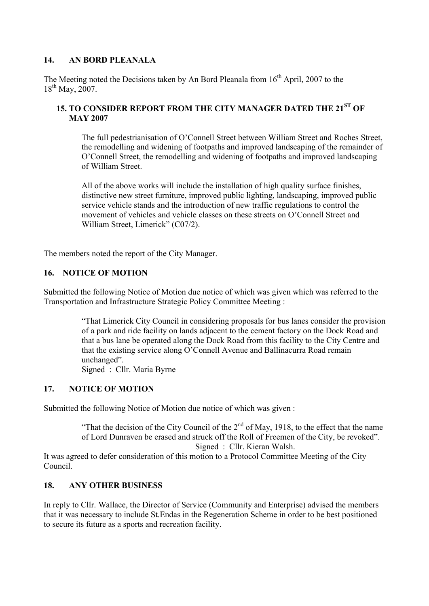### **14. AN BORD PLEANALA**

The Meeting noted the Decisions taken by An Bord Pleanala from  $16<sup>th</sup>$  April, 2007 to the 18<sup>th</sup> May, 2007.

# **15. TO CONSIDER REPORT FROM THE CITY MANAGER DATED THE 21ST OF MAY 2007**

The full pedestrianisation of O'Connell Street between William Street and Roches Street, the remodelling and widening of footpaths and improved landscaping of the remainder of O'Connell Street, the remodelling and widening of footpaths and improved landscaping of William Street.

All of the above works will include the installation of high quality surface finishes, distinctive new street furniture, improved public lighting, landscaping, improved public service vehicle stands and the introduction of new traffic regulations to control the movement of vehicles and vehicle classes on these streets on O'Connell Street and William Street, Limerick" (C07/2).

The members noted the report of the City Manager.

## **16. NOTICE OF MOTION**

Submitted the following Notice of Motion due notice of which was given which was referred to the Transportation and Infrastructure Strategic Policy Committee Meeting :

> "That Limerick City Council in considering proposals for bus lanes consider the provision of a park and ride facility on lands adjacent to the cement factory on the Dock Road and that a bus lane be operated along the Dock Road from this facility to the City Centre and that the existing service along O'Connell Avenue and Ballinacurra Road remain unchanged".

Signed : Cllr. Maria Byrne

## **17. NOTICE OF MOTION**

Submitted the following Notice of Motion due notice of which was given :

"That the decision of the City Council of the  $2<sup>nd</sup>$  of May, 1918, to the effect that the name of Lord Dunraven be erased and struck off the Roll of Freemen of the City, be revoked". Signed : Cllr. Kieran Walsh.

It was agreed to defer consideration of this motion to a Protocol Committee Meeting of the City Council.

#### **18. ANY OTHER BUSINESS**

In reply to Cllr. Wallace, the Director of Service (Community and Enterprise) advised the members that it was necessary to include St.Endas in the Regeneration Scheme in order to be best positioned to secure its future as a sports and recreation facility.